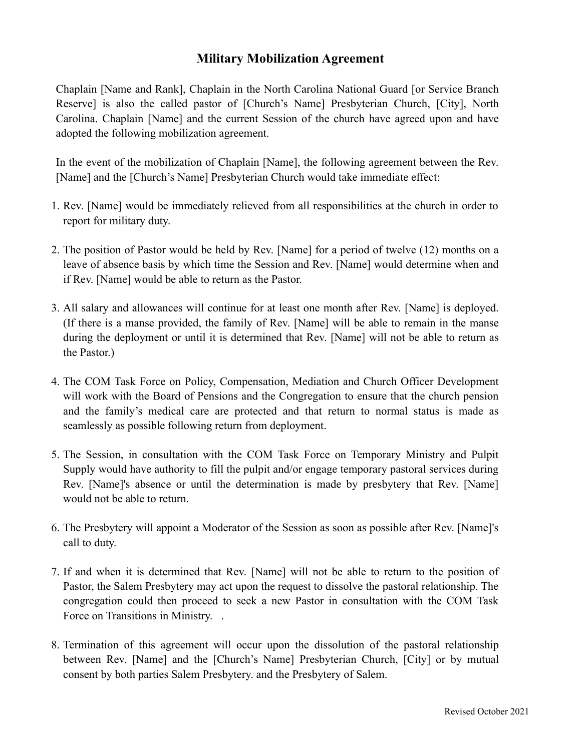## **Military Mobilization Agreement**

Chaplain [Name and Rank], Chaplain in the North Carolina National Guard [or Service Branch Reserve] is also the called pastor of [Church's Name] Presbyterian Church, [City], North Carolina. Chaplain [Name] and the current Session of the church have agreed upon and have adopted the following mobilization agreement.

In the event of the mobilization of Chaplain [Name], the following agreement between the Rev. [Name] and the [Church's Name] Presbyterian Church would take immediate effect:

- 1. Rev. [Name] would be immediately relieved from all responsibilities at the church in order to report for military duty.
- 2. The position of Pastor would be held by Rev. [Name] for a period of twelve (12) months on a leave of absence basis by which time the Session and Rev. [Name] would determine when and if Rev. [Name] would be able to return as the Pastor.
- 3. All salary and allowances will continue for at least one month after Rev. [Name] is deployed. (If there is a manse provided, the family of Rev. [Name] will be able to remain in the manse during the deployment or until it is determined that Rev. [Name] will not be able to return as the Pastor.)
- 4. The COM Task Force on Policy, Compensation, Mediation and Church Officer Development will work with the Board of Pensions and the Congregation to ensure that the church pension and the family's medical care are protected and that return to normal status is made as seamlessly as possible following return from deployment.
- 5. The Session, in consultation with the COM Task Force on Temporary Ministry and Pulpit Supply would have authority to fill the pulpit and/or engage temporary pastoral services during Rev. [Name]'s absence or until the determination is made by presbytery that Rev. [Name] would not be able to return.
- 6. The Presbytery will appoint a Moderator of the Session as soon as possible after Rev. [Name]'s call to duty.
- 7. If and when it is determined that Rev. [Name] will not be able to return to the position of Pastor, the Salem Presbytery may act upon the request to dissolve the pastoral relationship. The congregation could then proceed to seek a new Pastor in consultation with the COM Task Force on Transitions in Ministry...
- 8. Termination of this agreement will occur upon the dissolution of the pastoral relationship between Rev. [Name] and the [Church's Name] Presbyterian Church, [City] or by mutual consent by both parties Salem Presbytery. and the Presbytery of Salem.